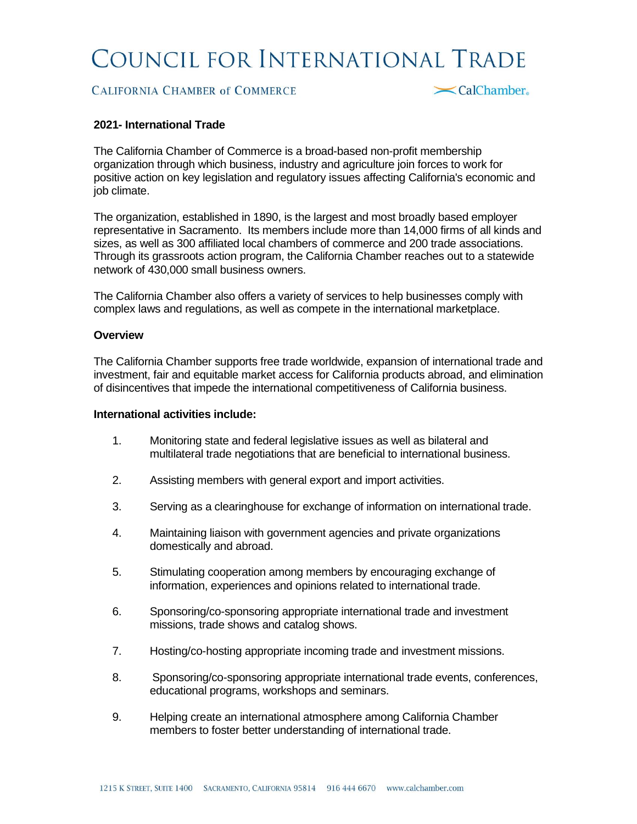# COUNCIL FOR INTERNATIONAL TRADE

## **CALIFORNIA CHAMBER of COMMERCE**

<br />
CalChamber

#### **2021- International Trade**

The California Chamber of Commerce is a broad-based non-profit membership organization through which business, industry and agriculture join forces to work for positive action on key legislation and regulatory issues affecting California's economic and job climate.

The organization, established in 1890, is the largest and most broadly based employer representative in Sacramento. Its members include more than 14,000 firms of all kinds and sizes, as well as 300 affiliated local chambers of commerce and 200 trade associations. Through its grassroots action program, the California Chamber reaches out to a statewide network of 430,000 small business owners.

The California Chamber also offers a variety of services to help businesses comply with complex laws and regulations, as well as compete in the international marketplace.

#### **Overview**

The California Chamber supports free trade worldwide, expansion of international trade and investment, fair and equitable market access for California products abroad, and elimination of disincentives that impede the international competitiveness of California business.

#### **International activities include:**

- 1. Monitoring state and federal legislative issues as well as bilateral and multilateral trade negotiations that are beneficial to international business.
- 2. Assisting members with general export and import activities.
- 3. Serving as a clearinghouse for exchange of information on international trade.
- 4. Maintaining liaison with government agencies and private organizations domestically and abroad.
- 5. Stimulating cooperation among members by encouraging exchange of information, experiences and opinions related to international trade.
- 6. Sponsoring/co-sponsoring appropriate international trade and investment missions, trade shows and catalog shows.
- 7. Hosting/co-hosting appropriate incoming trade and investment missions.
- 8. Sponsoring/co-sponsoring appropriate international trade events, conferences, educational programs, workshops and seminars.
- 9. Helping create an international atmosphere among California Chamber members to foster better understanding of international trade.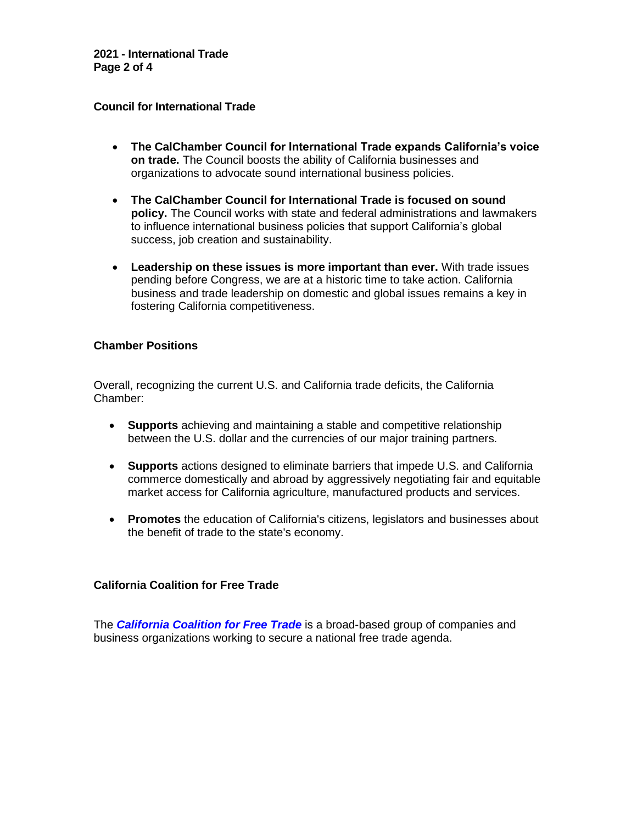**2021 - International Trade Page 2 of 4**

#### **Council for International Trade**

- **The CalChamber Council for International Trade expands California's voice on trade.** The Council boosts the ability of California businesses and organizations to advocate sound international business policies.
- **The CalChamber Council for International Trade is focused on sound policy.** The Council works with state and federal administrations and lawmakers to influence international business policies that support California's global success, job creation and sustainability.
- **Leadership on these issues is more important than ever.** With trade issues pending before Congress, we are at a historic time to take action. California business and trade leadership on domestic and global issues remains a key in fostering California competitiveness.

## **Chamber Positions**

Overall, recognizing the current U.S. and California trade deficits, the California Chamber:

- **Supports** achieving and maintaining a stable and competitive relationship between the U.S. dollar and the currencies of our major training partners.
- **Supports** actions designed to eliminate barriers that impede U.S. and California commerce domestically and abroad by aggressively negotiating fair and equitable market access for California agriculture, manufactured products and services.
- **Promotes** the education of California's citizens, legislators and businesses about the benefit of trade to the state's economy.

# **California Coalition for Free Trade**

The *[California Coalition for Free Trade](http://www.calchamber.com/International/CCIT/Pages/CaliforniaCoalitionforFreeTrade.aspx)* is a broad-based group of companies and business organizations working to secure a national free trade agenda.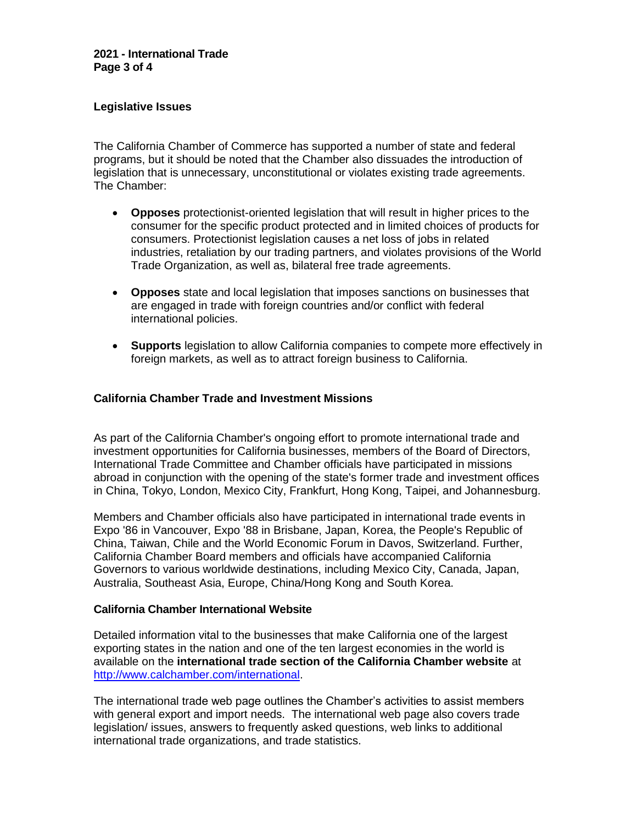## **Legislative Issues**

The California Chamber of Commerce has supported a number of state and federal programs, but it should be noted that the Chamber also dissuades the introduction of legislation that is unnecessary, unconstitutional or violates existing trade agreements. The Chamber:

- **Opposes** protectionist-oriented legislation that will result in higher prices to the consumer for the specific product protected and in limited choices of products for consumers. Protectionist legislation causes a net loss of jobs in related industries, retaliation by our trading partners, and violates provisions of the World Trade Organization, as well as, bilateral free trade agreements.
- **Opposes** state and local legislation that imposes sanctions on businesses that are engaged in trade with foreign countries and/or conflict with federal international policies.
- **Supports** legislation to allow California companies to compete more effectively in foreign markets, as well as to attract foreign business to California.

## **California Chamber Trade and Investment Missions**

As part of the California Chamber's ongoing effort to promote international trade and investment opportunities for California businesses, members of the Board of Directors, International Trade Committee and Chamber officials have participated in missions abroad in conjunction with the opening of the state's former trade and investment offices in China, Tokyo, London, Mexico City, Frankfurt, Hong Kong, Taipei, and Johannesburg.

Members and Chamber officials also have participated in international trade events in Expo '86 in Vancouver, Expo '88 in Brisbane, Japan, Korea, the People's Republic of China, Taiwan, Chile and the World Economic Forum in Davos, Switzerland. Further, California Chamber Board members and officials have accompanied California Governors to various worldwide destinations, including Mexico City, Canada, Japan, Australia, Southeast Asia, Europe, China/Hong Kong and South Korea.

#### **California Chamber International Website**

Detailed information vital to the businesses that make California one of the largest exporting states in the nation and one of the ten largest economies in the world is available on the **international trade section of the California Chamber website** at [http://www.calchamber.com/international.](http://www.calchamber.com/international)

The international trade web page outlines the Chamber's activities to assist members with general export and import needs. The international web page also covers trade legislation/ issues, answers to frequently asked questions, web links to additional international trade organizations, and trade statistics.